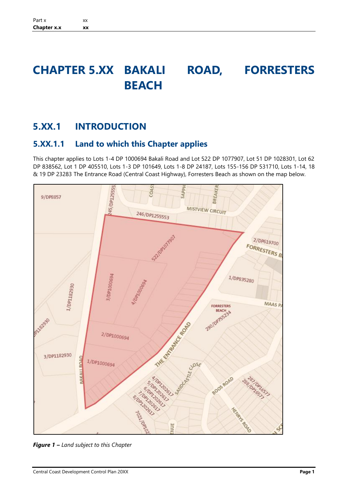# **CHAPTER 5.XX BAKALI ROAD, FORRESTERS BEACH**

# **5.XX.1 INTRODUCTION**

# **5.XX.1.1 Land to which this Chapter applies**

This chapter applies to Lots 1-4 DP 1000694 Bakali Road and Lot 522 DP 1077907, Lot 51 DP 1028301, Lot 62 DP 838562, Lot 1 DP 405510, Lots 1-3 DP 101649, Lots 1-8 DP 24187, Lots 155-156 DP 531710, Lots 1-14, 18 & 19 DP 23283 The Entrance Road (Central Coast Highway), Forresters Beach as shown on the map below.



*Figure 1 – Land subject to this Chapter*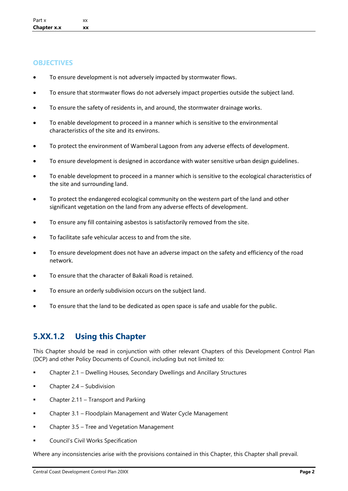#### **OBJECTIVES**

- To ensure development is not adversely impacted by stormwater flows.
- To ensure that stormwater flows do not adversely impact properties outside the subject land.
- To ensure the safety of residents in, and around, the stormwater drainage works.
- To enable development to proceed in a manner which is sensitive to the environmental characteristics of the site and its environs.
- To protect the environment of Wamberal Lagoon from any adverse effects of development.
- To ensure development is designed in accordance with water sensitive urban design guidelines.
- To enable development to proceed in a manner which is sensitive to the ecological characteristics of the site and surrounding land.
- To protect the endangered ecological community on the western part of the land and other significant vegetation on the land from any adverse effects of development.
- To ensure any fill containing asbestos is satisfactorily removed from the site.
- To facilitate safe vehicular access to and from the site.
- To ensure development does not have an adverse impact on the safety and efficiency of the road network.
- To ensure that the character of Bakali Road is retained.
- To ensure an orderly subdivision occurs on the subject land.
- To ensure that the land to be dedicated as open space is safe and usable for the public.

# **5.XX.1.2 Using this Chapter**

This Chapter should be read in conjunction with other relevant Chapters of this Development Control Plan (DCP) and other Policy Documents of Council, including but not limited to:

- Chapter 2.1 Dwelling Houses, Secondary Dwellings and Ancillary Structures
- Chapter 2.4 Subdivision
- Chapter  $2.11$  Transport and Parking
- Chapter 3.1 Floodplain Management and Water Cycle Management
- Chapter 3.5 Tree and Vegetation Management
- Council's Civil Works Specification

Where any inconsistencies arise with the provisions contained in this Chapter, this Chapter shall prevail.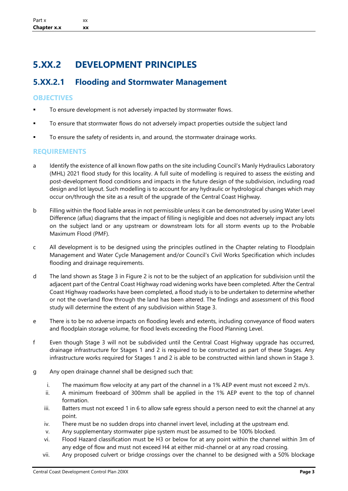# **5.XX.2 DEVELOPMENT PRINCIPLES**

### **5.XX.2.1 Flooding and Stormwater Management**

#### **OBJECTIVES**

- To ensure development is not adversely impacted by stormwater flows.
- To ensure that stormwater flows do not adversely impact properties outside the subject land
- To ensure the safety of residents in, and around, the stormwater drainage works.

#### **REQUIREMENTS**

- a Identify the existence of all known flow paths on the site including Council's Manly Hydraulics Laboratory (MHL) 2021 flood study for this locality. A full suite of modelling is required to assess the existing and post-development flood conditions and impacts in the future design of the subdivision, including road design and lot layout. Such modelling is to account for any hydraulic or hydrological changes which may occur on/through the site as a result of the upgrade of the Central Coast Highway.
- b Filling within the flood liable areas in not permissible unless it can be demonstrated by using Water Level Difference (aflux) diagrams that the impact of filling is negligible and does not adversely impact any lots on the subject land or any upstream or downstream lots for all storm events up to the Probable Maximum Flood (PMF).
- c All development is to be designed using the principles outlined in the Chapter relating to Floodplain Management and Water Cycle Management and/or Council's Civil Works Specification which includes flooding and drainage requirements.
- d The land shown as Stage 3 in Figure 2 is not to be the subject of an application for subdivision until the adjacent part of the Central Coast Highway road widening works have been completed. After the Central Coast Highway roadworks have been completed, a flood study is to be undertaken to determine whether or not the overland flow through the land has been altered. The findings and assessment of this flood study will determine the extent of any subdivision within Stage 3.
- e There is to be no adverse impacts on flooding levels and extents, including conveyance of flood waters and floodplain storage volume, for flood levels exceeding the Flood Planning Level.
- f Even though Stage 3 will not be subdivided until the Central Coast Highway upgrade has occurred, drainage infrastructure for Stages 1 and 2 is required to be constructed as part of these Stages. Any infrastructure works required for Stages 1 and 2 is able to be constructed within land shown in Stage 3.
- g Any open drainage channel shall be designed such that:
	- i. The maximum flow velocity at any part of the channel in a 1% AEP event must not exceed 2 m/s.
	- ii. A minimum freeboard of 300mm shall be applied in the 1% AEP event to the top of channel formation.
	- iii. Batters must not exceed 1 in 6 to allow safe egress should a person need to exit the channel at any point.
	- iv. There must be no sudden drops into channel invert level, including at the upstream end.
	- v. Any supplementary stormwater pipe system must be assumed to be 100% blocked.
	- vi. Flood Hazard classification must be H3 or below for at any point within the channel within 3m of any edge of flow and must not exceed H4 at either mid-channel or at any road crossing.
	- vii. Any proposed culvert or bridge crossings over the channel to be designed with a 50% blockage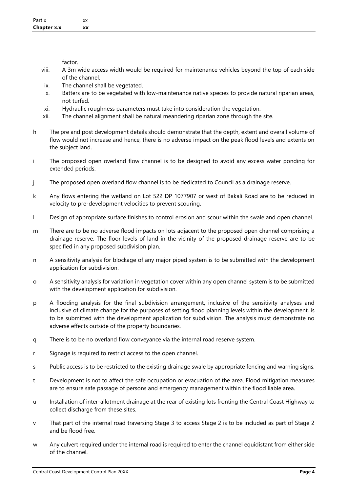factor.

- viii. A 3m wide access width would be required for maintenance vehicles beyond the top of each side of the channel.
- ix. The channel shall be vegetated.
- x. Batters are to be vegetated with low-maintenance native species to provide natural riparian areas, not turfed.
- xi. Hydraulic roughness parameters must take into consideration the vegetation.
- xii. The channel alignment shall be natural meandering riparian zone through the site.
- h The pre and post development details should demonstrate that the depth, extent and overall volume of flow would not increase and hence, there is no adverse impact on the peak flood levels and extents on the subject land.
- i The proposed open overland flow channel is to be designed to avoid any excess water ponding for extended periods.
- j The proposed open overland flow channel is to be dedicated to Council as a drainage reserve.
- k Any flows entering the wetland on Lot 522 DP 1077907 or west of Bakali Road are to be reduced in velocity to pre-development velocities to prevent scouring.
- l Design of appropriate surface finishes to control erosion and scour within the swale and open channel.
- m There are to be no adverse flood impacts on lots adjacent to the proposed open channel comprising a drainage reserve. The floor levels of land in the vicinity of the proposed drainage reserve are to be specified in any proposed subdivision plan.
- n A sensitivity analysis for blockage of any major piped system is to be submitted with the development application for subdivision.
- o A sensitivity analysis for variation in vegetation cover within any open channel system is to be submitted with the development application for subdivision.
- p A flooding analysis for the final subdivision arrangement, inclusive of the sensitivity analyses and inclusive of climate change for the purposes of setting flood planning levels within the development, is to be submitted with the development application for subdivision. The analysis must demonstrate no adverse effects outside of the property boundaries.
- q There is to be no overland flow conveyance via the internal road reserve system.
- r Signage is required to restrict access to the open channel.
- s Public access is to be restricted to the existing drainage swale by appropriate fencing and warning signs.
- t Development is not to affect the safe occupation or evacuation of the area. Flood mitigation measures are to ensure safe passage of persons and emergency management within the flood liable area.
- u Installation of inter-allotment drainage at the rear of existing lots fronting the Central Coast Highway to collect discharge from these sites.
- v That part of the internal road traversing Stage 3 to access Stage 2 is to be included as part of Stage 2 and be flood free.
- w Any culvert required under the internal road is required to enter the channel equidistant from either side of the channel.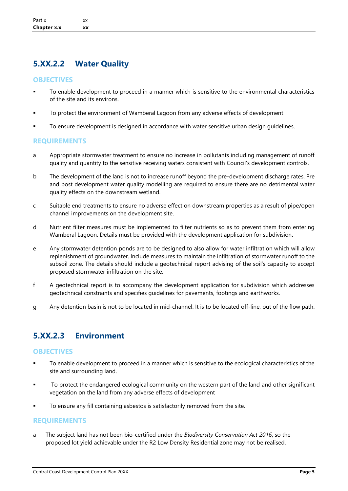## **5.XX.2.2 Water Quality**

#### **OBJECTIVES**

- To enable development to proceed in a manner which is sensitive to the environmental characteristics of the site and its environs.
- To protect the environment of Wamberal Lagoon from any adverse effects of development
- To ensure development is designed in accordance with water sensitive urban design quidelines.

#### **REQUIREMENTS**

- a Appropriate stormwater treatment to ensure no increase in pollutants including management of runoff quality and quantity to the sensitive receiving waters consistent with Council's development controls.
- b The development of the land is not to increase runoff beyond the pre-development discharge rates. Pre and post development water quality modelling are required to ensure there are no detrimental water quality effects on the downstream wetland.
- c Suitable end treatments to ensure no adverse effect on downstream properties as a result of pipe/open channel improvements on the development site.
- d Nutrient filter measures must be implemented to filter nutrients so as to prevent them from entering Wamberal Lagoon. Details must be provided with the development application for subdivision.
- e Any stormwater detention ponds are to be designed to also allow for water infiltration which will allow replenishment of groundwater. Include measures to maintain the infiltration of stormwater runoff to the subsoil zone. The details should include a geotechnical report advising of the soil's capacity to accept proposed stormwater infiltration on the site.
- f A geotechnical report is to accompany the development application for subdivision which addresses geotechnical constraints and specifies guidelines for pavements, footings and earthworks.
- g Any detention basin is not to be located in mid-channel. It is to be located off-line, out of the flow path.

# **5.XX.2.3 Environment**

#### **OBJECTIVES**

- To enable development to proceed in a manner which is sensitive to the ecological characteristics of the site and surrounding land.
- To protect the endangered ecological community on the western part of the land and other significant vegetation on the land from any adverse effects of development
- To ensure any fill containing asbestos is satisfactorily removed from the site.

#### **REQUIREMENTS**

a The subject land has not been bio-certified under the *Biodiversity Conservation Act 2016*, so the proposed lot yield achievable under the R2 Low Density Residential zone may not be realised.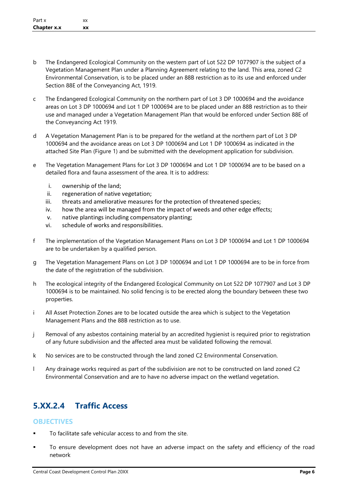- b The Endangered Ecological Community on the western part of Lot 522 DP 1077907 is the subject of a Vegetation Management Plan under a Planning Agreement relating to the land. This area, zoned C2 Environmental Conservation, is to be placed under an 88B restriction as to its use and enforced under Section 88E of the Conveyancing Act, 1919.
- c The Endangered Ecological Community on the northern part of Lot 3 DP 1000694 and the avoidance areas on Lot 3 DP 1000694 and Lot 1 DP 1000694 are to be placed under an 88B restriction as to their use and managed under a Vegetation Management Plan that would be enforced under Section 88E of the Conveyancing Act 1919.
- d A Vegetation Management Plan is to be prepared for the wetland at the northern part of Lot 3 DP 1000694 and the avoidance areas on Lot 3 DP 1000694 and Lot 1 DP 1000694 as indicated in the attached Site Plan (Figure 1) and be submitted with the development application for subdivision.
- e The Vegetation Management Plans for Lot 3 DP 1000694 and Lot 1 DP 1000694 are to be based on a detailed flora and fauna assessment of the area. It is to address:
	- i. ownership of the land;
	- ii. regeneration of native vegetation;
	- iii. threats and ameliorative measures for the protection of threatened species;
	- iv. how the area will be managed from the impact of weeds and other edge effects;
	- v. native plantings including compensatory planting;
	- vi. schedule of works and responsibilities.
- f The implementation of the Vegetation Management Plans on Lot 3 DP 1000694 and Lot 1 DP 1000694 are to be undertaken by a qualified person.
- g The Vegetation Management Plans on Lot 3 DP 1000694 and Lot 1 DP 1000694 are to be in force from the date of the registration of the subdivision.
- h The ecological integrity of the Endangered Ecological Community on Lot 522 DP 1077907 and Lot 3 DP 1000694 is to be maintained. No solid fencing is to be erected along the boundary between these two properties.
- i All Asset Protection Zones are to be located outside the area which is subject to the Vegetation Management Plans and the 88B restriction as to use.
- j Removal of any asbestos containing material by an accredited hygienist is required prior to registration of any future subdivision and the affected area must be validated following the removal.
- k No services are to be constructed through the land zoned C2 Environmental Conservation.
- l Any drainage works required as part of the subdivision are not to be constructed on land zoned C2 Environmental Conservation and are to have no adverse impact on the wetland vegetation.

# **5.XX.2.4 Traffic Access**

#### **OBJECTIVES**

- To facilitate safe vehicular access to and from the site.
- To ensure development does not have an adverse impact on the safety and efficiency of the road network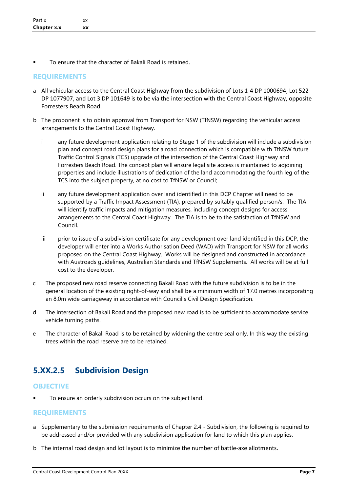To ensure that the character of Bakali Road is retained.

#### **REQUIREMENTS**

- a All vehicular access to the Central Coast Highway from the subdivision of Lots 1-4 DP 1000694, Lot 522 DP 1077907, and Lot 3 DP 101649 is to be via the intersection with the Central Coast Highway, opposite Forresters Beach Road.
- b The proponent is to obtain approval from Transport for NSW (TfNSW) regarding the vehicular access arrangements to the Central Coast Highway.
	- i any future development application relating to Stage 1 of the subdivision will include a subdivision plan and concept road design plans for a road connection which is compatible with TfNSW future Traffic Control Signals (TCS) upgrade of the intersection of the Central Coast Highway and Forresters Beach Road. The concept plan will ensure legal site access is maintained to adjoining properties and include illustrations of dedication of the land accommodating the fourth leg of the TCS into the subject property, at no cost to TfNSW or Council;
	- ii any future development application over land identified in this DCP Chapter will need to be supported by a Traffic Impact Assessment (TIA), prepared by suitably qualified person/s. The TIA will identify traffic impacts and mitigation measures, including concept designs for access arrangements to the Central Coast Highway. The TIA is to be to the satisfaction of TfNSW and Council.
	- iii prior to issue of a subdivision certificate for any development over land identified in this DCP, the developer will enter into a Works Authorisation Deed (WAD) with Transport for NSW for all works proposed on the Central Coast Highway. Works will be designed and constructed in accordance with Austroads guidelines, Australian Standards and TfNSW Supplements. All works will be at full cost to the developer.
- c The proposed new road reserve connecting Bakali Road with the future subdivision is to be in the general location of the existing right-of-way and shall be a minimum width of 17.0 metres incorporating an 8.0m wide carriageway in accordance with Council's Civil Design Specification.
- d The intersection of Bakali Road and the proposed new road is to be sufficient to accommodate service vehicle turning paths.
- e The character of Bakali Road is to be retained by widening the centre seal only. In this way the existing trees within the road reserve are to be retained.

### **5.XX.2.5 Subdivision Design**

#### **OBJECTIVE**

To ensure an orderly subdivision occurs on the subject land.

#### **REQUIREMENTS**

- a Supplementary to the submission requirements of Chapter 2.4 Subdivision, the following is required to be addressed and/or provided with any subdivision application for land to which this plan applies.
- b The internal road design and lot layout is to minimize the number of battle-axe allotments.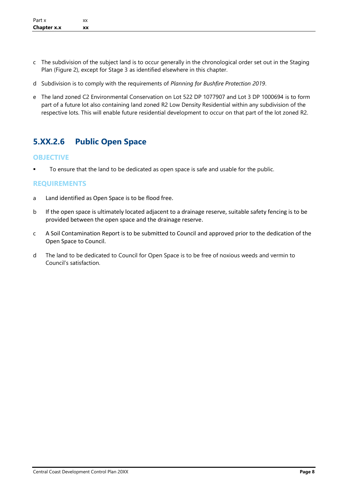- c The subdivision of the subject land is to occur generally in the chronological order set out in the Staging Plan (Figure 2), except for Stage 3 as identified elsewhere in this chapter.
- d Subdivision is to comply with the requirements of *Planning for Bushfire Protection 2019*.
- e The land zoned C2 Environmental Conservation on Lot 522 DP 1077907 and Lot 3 DP 1000694 is to form part of a future lot also containing land zoned R2 Low Density Residential within any subdivision of the respective lots. This will enable future residential development to occur on that part of the lot zoned R2.

# **5.XX.2.6 Public Open Space**

#### **OBJECTIVE**

■ To ensure that the land to be dedicated as open space is safe and usable for the public.

#### **REQUIREMENTS**

- a Land identified as Open Space is to be flood free.
- b If the open space is ultimately located adjacent to a drainage reserve, suitable safety fencing is to be provided between the open space and the drainage reserve.
- c A Soil Contamination Report is to be submitted to Council and approved prior to the dedication of the Open Space to Council.
- d The land to be dedicated to Council for Open Space is to be free of noxious weeds and vermin to Council's satisfaction.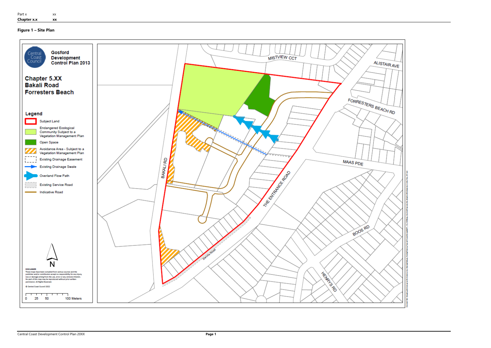

**Figure 1 – Site Plan**